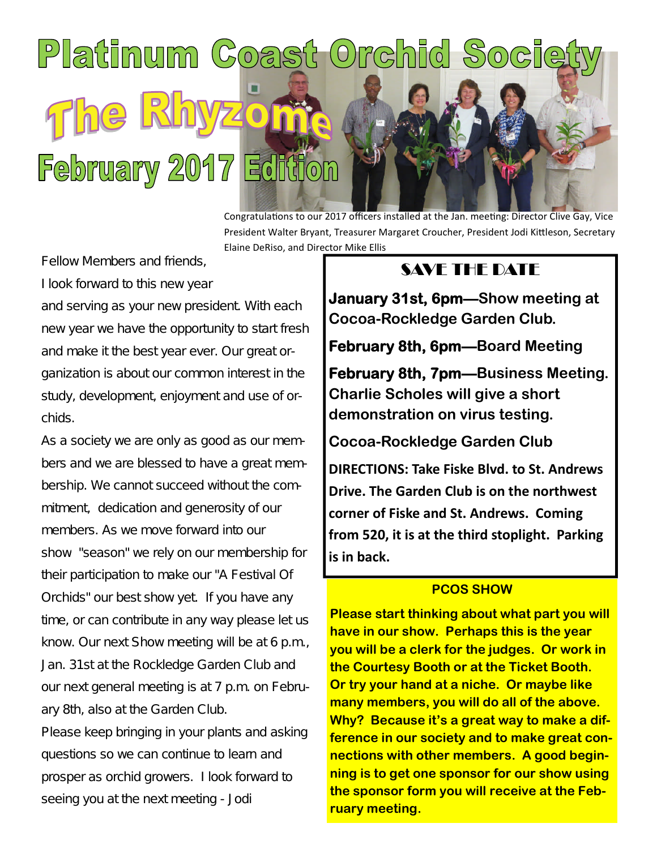# Platinum Coast Orchid Socie  $\mathbb{R}$ he **February 2017 Edition**

Congratulations to our 2017 officers installed at the Jan. meeting: Director Clive Gay, Vice President Walter Bryant, Treasurer Margaret Croucher, President Jodi Kittleson, Secretary Elaine DeRiso, and Director Mike Ellis

Fellow Members and friends,

I look forward to this new year

and serving as your new president. With each new year we have the opportunity to start fresh and make it the best year ever. Our great organization is about our common interest in the study, development, enjoyment and use of orchids.

As a society we are only as good as our members and we are blessed to have a great membership. We cannot succeed without the commitment, dedication and generosity of our members. As we move forward into our show "season" we rely on our membership for their participation to make our "A Festival Of Orchids" our best show yet. If you have any time, or can contribute in any way please let us know. Our next Show meeting will be at 6 p.m., Jan. 31st at the Rockledge Garden Club and our next general meeting is at 7 p.m. on February 8th, also at the Garden Club.

Please keep bringing in your plants and asking questions so we can continue to learn and prosper as orchid growers. I look forward to seeing you at the next meeting - Jodi

## SAVE THE DATE

**January 31st, 6pm—Show meeting at Cocoa-Rockledge Garden Club.**

**February 8th, 6pm—Board Meeting**

**February 8th, 7pm—Business Meeting. Charlie Scholes will give a short demonstration on virus testing.**

**Cocoa-Rockledge Garden Club**

**DIRECTIONS: Take Fiske Blvd. to St. Andrews Drive. The Garden Club is on the northwest corner of Fiske and St. Andrews. Coming from 520, it is at the third stoplight. Parking is in back.**

## **PCOS SHOW**

**Please start thinking about what part you will have in our show. Perhaps this is the year you will be a clerk for the judges. Or work in the Courtesy Booth or at the Ticket Booth. Or try your hand at a niche. Or maybe like many members, you will do all of the above. Why? Because it's a great way to make a difference in our society and to make great connections with other members. A good beginning is to get one sponsor for our show using the sponsor form you will receive at the February meeting.**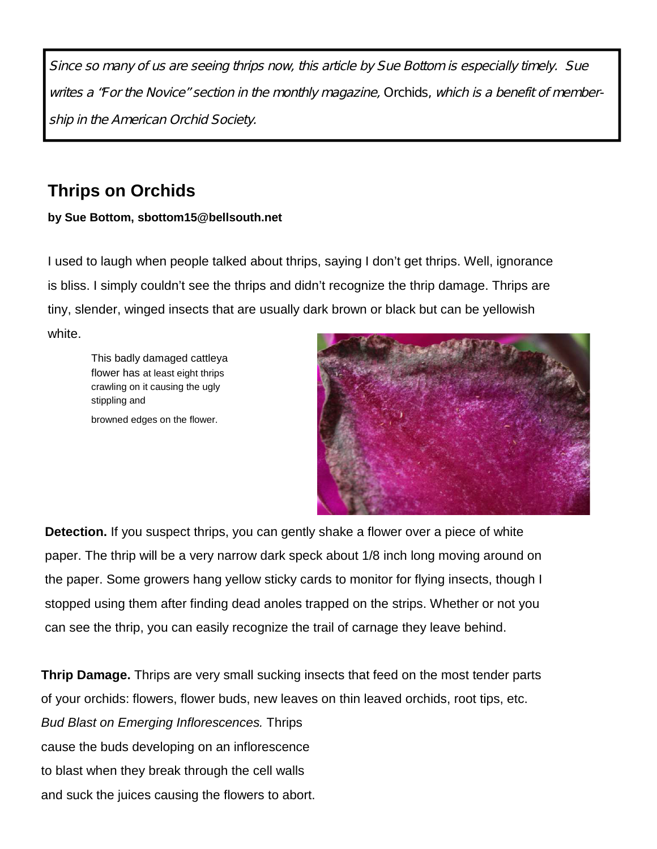Since so many of us are seeing thrips now, this article by Sue Bottom is especially timely. Sue writes <sup>a</sup> "For the Novice" section in the monthly magazine, Orchids, which is <sup>a</sup> benefit of membership in the American Orchid Society.

## **Thrips on Orchids**

#### **by Sue Bottom, sbottom15@bellsouth.net**

I used to laugh when people talked about thrips, saying I don't get thrips. Well, ignorance is bliss. I simply couldn't see the thrips and didn't recognize the thrip damage. Thrips are tiny, slender, winged insects that are usually dark brown or black but can be yellowish white.

This badly damaged cattleya flower has at least eight thrips crawling on it causing the ugly stippling and

browned edges on the flower.



**Detection.** If you suspect thrips, you can gently shake a flower over a piece of white paper. The thrip will be a very narrow dark speck about 1/8 inch long moving around on the paper. Some growers hang yellow sticky cards to monitor for flying insects, though I stopped using them after finding dead anoles trapped on the strips. Whether or not you can see the thrip, you can easily recognize the trail of carnage they leave behind.

**Thrip Damage.** Thrips are very small sucking insects that feed on the most tender parts of your orchids: flowers, flower buds, new leaves on thin leaved orchids, root tips, etc. *Bud Blast on Emerging Inflorescences.* Thrips cause the buds developing on an inflorescence to blast when they break through the cell walls and suck the juices causing the flowers to abort.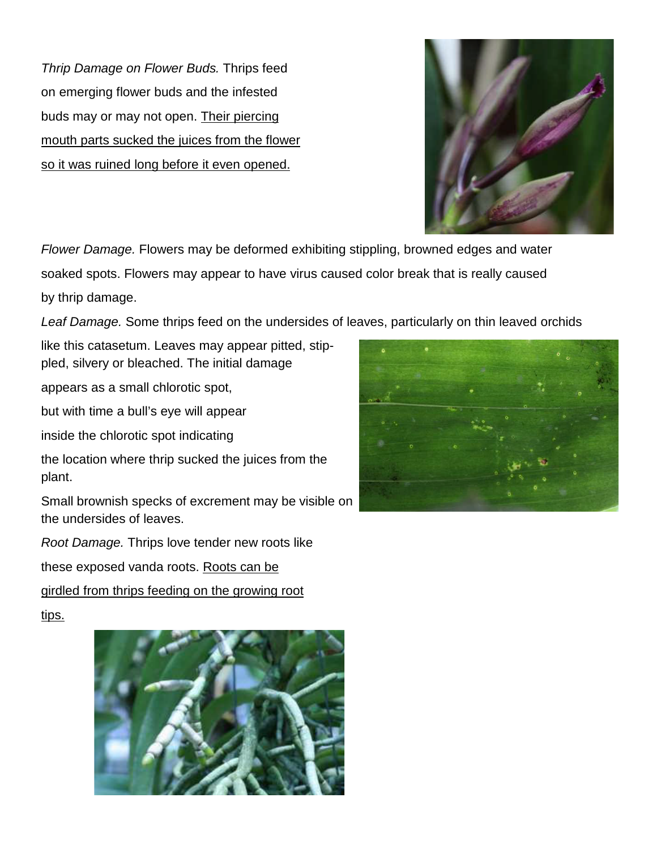*Thrip Damage on Flower Buds.* Thrips feed on emerging flower buds and the infested buds may or may not open. Their piercing mouth parts sucked the juices from the flower so it was ruined long before it even opened.



*Flower Damage.* Flowers may be deformed exhibiting stippling, browned edges and water soaked spots. Flowers may appear to have virus caused color break that is really caused by thrip damage.

*Leaf Damage.* Some thrips feed on the undersides of leaves, particularly on thin leaved orchids

like this catasetum. Leaves may appear pitted, stippled, silvery or bleached. The initial damage

appears as a small chlorotic spot,

but with time a bull's eye will appear

inside the chlorotic spot indicating

the location where thrip sucked the juices from the plant.

Small brownish specks of excrement may be visible on the undersides of leaves.

*Root Damage.* Thrips love tender new roots like

these exposed vanda roots. Roots can be

girdled from thrips feeding on the growing root

tips.



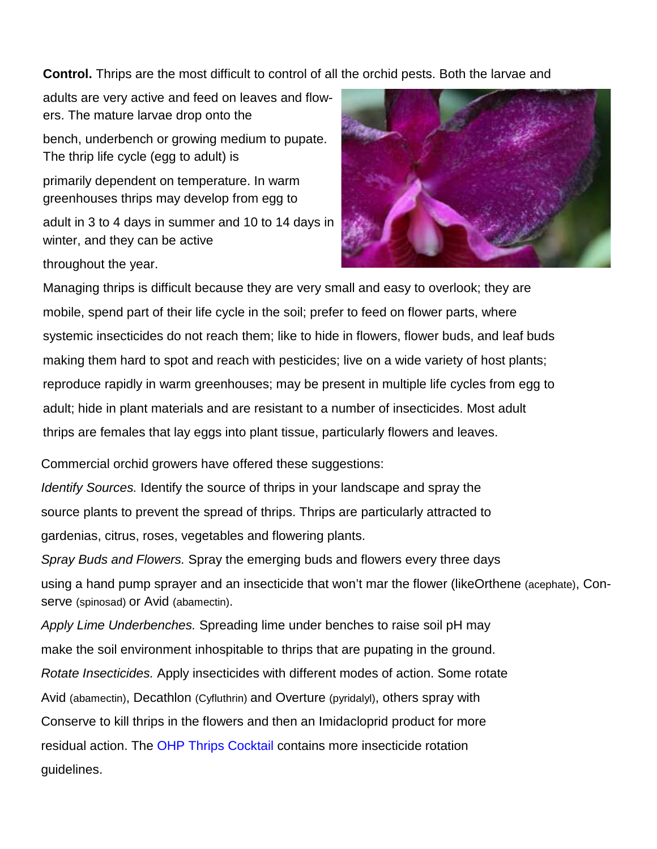**Control.** Thrips are the most difficult to control of all the orchid pests. Both the larvae and

adults are very active and feed on leaves and flowers. The mature larvae drop onto the

bench, underbench or growing medium to pupate. The thrip life cycle (egg to adult) is

primarily dependent on temperature. In warm greenhouses thrips may develop from egg to

adult in 3 to 4 days in summer and 10 to 14 days in winter, and they can be active

throughout the year.

Managing thrips is difficult because they are very small and easy to overlook; they are mobile, spend part of their life cycle in the soil; prefer to feed on flower parts, where systemic insecticides do not reach them; like to hide in flowers, flower buds, and leaf buds making them hard to spot and reach with pesticides; live on a wide variety of host plants; reproduce rapidly in warm greenhouses; may be present in multiple life cycles from egg to adult; hide in plant materials and are resistant to a number of insecticides. Most adult thrips are females that lay eggs into plant tissue, particularly flowers and leaves.

Commercial orchid growers have offered these suggestions:

*Identify Sources.* Identify the source of thrips in your landscape and spray the source plants to prevent the spread of thrips. Thrips are particularly attracted to gardenias, citrus, roses, vegetables and flowering plants.

*Spray Buds and Flowers.* Spray the emerging buds and flowers every three days using a hand pump sprayer and an insecticide that won't mar the flower (likeOrthene (acephate), Conserve (spinosad) or Avid (abamectin).

*Apply Lime Underbenches.* Spreading lime under benches to raise soil pH may make the soil environment inhospitable to thrips that are pupating in the ground. *Rotate Insecticides.* Apply insecticides with different modes of action. Some rotate Avid (abamectin), Decathlon (Cyfluthrin) and Overture (pyridalyl), others spray with Conserve to kill thrips in the flowers and then an Imidacloprid product for more residual action. The OHP Thrips Cocktail contains more insecticide rotation guidelines.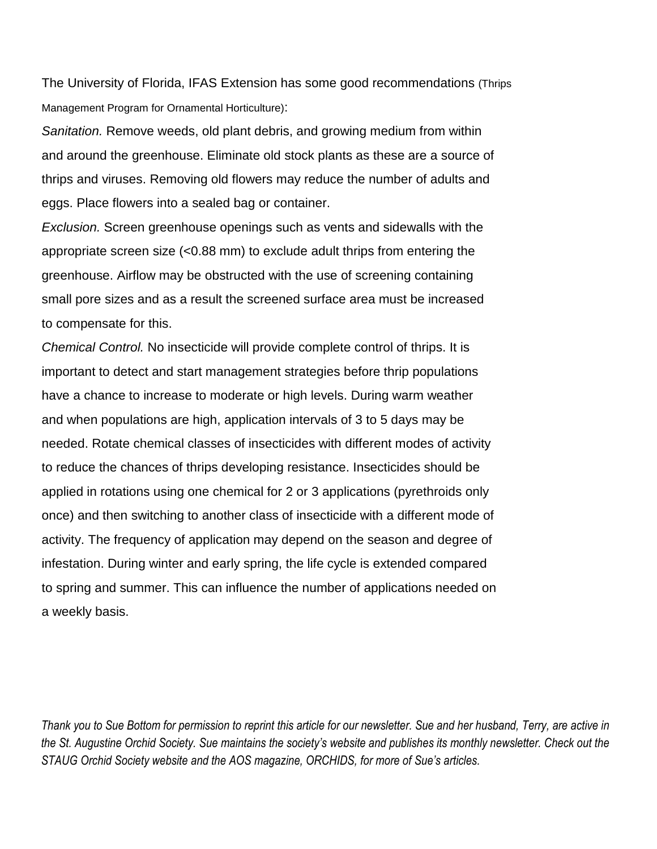The University of Florida, IFAS Extension has some good recommendations (Thrips Management Program for Ornamental Horticulture):

*Sanitation.* Remove weeds, old plant debris, and growing medium from within and around the greenhouse. Eliminate old stock plants as these are a source of thrips and viruses. Removing old flowers may reduce the number of adults and eggs. Place flowers into a sealed bag or container.

*Exclusion.* Screen greenhouse openings such as vents and sidewalls with the appropriate screen size (<0.88 mm) to exclude adult thrips from entering the greenhouse. Airflow may be obstructed with the use of screening containing small pore sizes and as a result the screened surface area must be increased to compensate for this.

*Chemical Control.* No insecticide will provide complete control of thrips. It is important to detect and start management strategies before thrip populations have a chance to increase to moderate or high levels. During warm weather and when populations are high, application intervals of 3 to 5 days may be needed. Rotate chemical classes of insecticides with different modes of activity to reduce the chances of thrips developing resistance. Insecticides should be applied in rotations using one chemical for 2 or 3 applications (pyrethroids only once) and then switching to another class of insecticide with a different mode of activity. The frequency of application may depend on the season and degree of infestation. During winter and early spring, the life cycle is extended compared to spring and summer. This can influence the number of applications needed on a weekly basis.

*Thank you to Sue Bottom for permission to reprint this article for our newsletter. Sue and her husband, Terry, are active in the St. Augustine Orchid Society. Sue maintains the society's website and publishes its monthly newsletter. Check out the STAUG Orchid Society website and the AOS magazine, ORCHIDS, for more of Sue's articles.*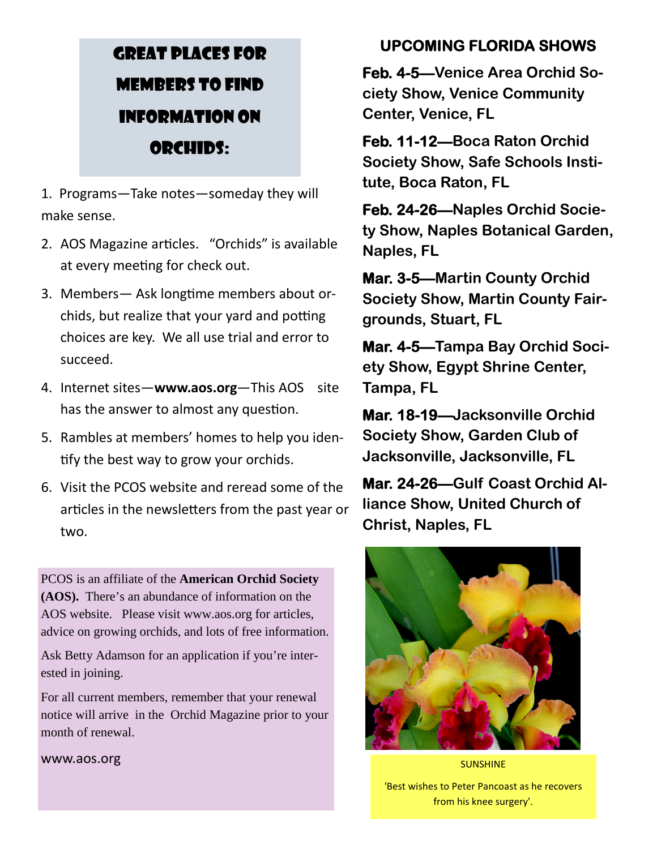## GREAT PLACES FOR MEMBERS TO FIND INFORMATION ON ORCHIDS:

1. Programs—Take notes—someday they will make sense.

- 2. AOS Magazine articles. "Orchids" is available at every meeting for check out.
- 3. Members— Ask longtime members about orchids, but realize that your yard and potting choices are key. We all use trial and error to succeed.
- 4. Internet sites—**www.aos.org**—This AOS site has the answer to almost any question.
- 5. Rambles at members' homes to help you identify the best way to grow your orchids.
- 6. Visit the PCOS website and reread some of the articles in the newsletters from the past year or two.

PCOS is an affiliate of the **American Orchid Society (AOS).** There's an abundance of information on the AOS website. Please visit www.aos.org for articles, advice on growing orchids, and lots of free information.

Ask Betty Adamson for an application if you're interested in joining.

For all current members, remember that your renewal notice will arrive in the Orchid Magazine prior to your month of renewal.

www.aos.org

## **UPCOMING FLORIDA SHOWS**

**Feb. 4-5—Venice Area Orchid Society Show, Venice Community Center, Venice, FL**

**Feb. 11-12—Boca Raton Orchid Society Show, Safe Schools Institute, Boca Raton, FL**

**Feb. 24-26—Naples Orchid Society Show, Naples Botanical Garden, Naples, FL**

**Mar. 3-5—Martin County Orchid Society Show, Martin County Fairgrounds, Stuart, FL**

**Mar. 4-5—Tampa Bay Orchid Society Show, Egypt Shrine Center, Tampa, FL**

**Mar. 18-19—Jacksonville Orchid Society Show, Garden Club of Jacksonville, Jacksonville, FL**

**Mar. 24-26—Gulf Coast Orchid Alliance Show, United Church of Christ, Naples, FL**



SUNSHINE 'Best wishes to Peter Pancoast as he recovers from his knee surgery'.